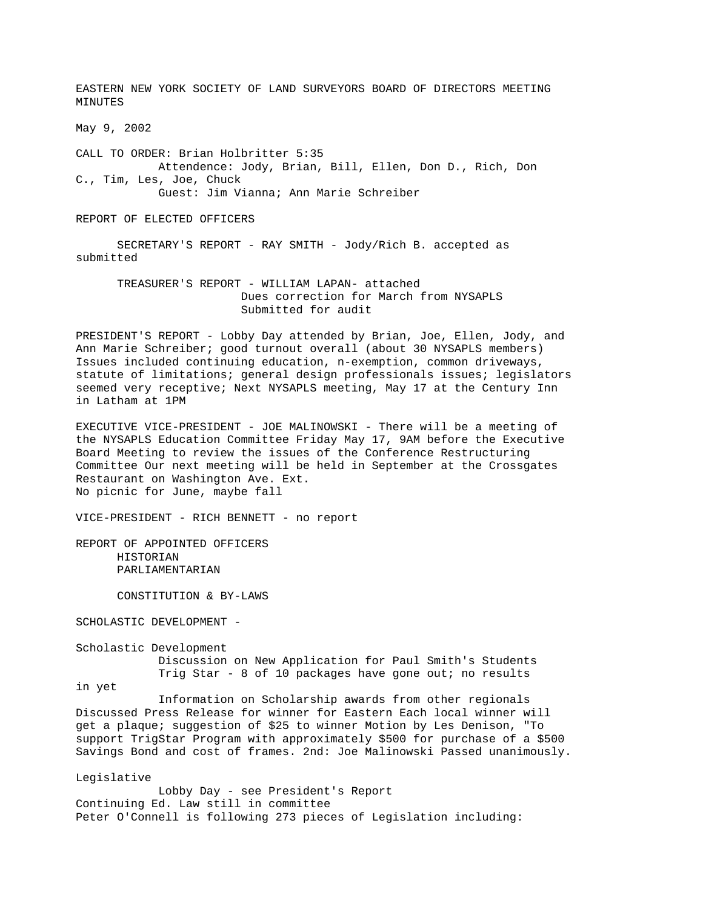EASTERN NEW YORK SOCIETY OF LAND SURVEYORS BOARD OF DIRECTORS MEETING MINUTES May 9, 2002 CALL TO ORDER: Brian Holbritter 5:35 Attendence: Jody, Brian, Bill, Ellen, Don D., Rich, Don C., Tim, Les, Joe, Chuck Guest: Jim Vianna; Ann Marie Schreiber REPORT OF ELECTED OFFICERS SECRETARY'S REPORT - RAY SMITH - Jody/Rich B. accepted as submitted TREASURER'S REPORT - WILLIAM LAPAN- attached Dues correction for March from NYSAPLS Submitted for audit PRESIDENT'S REPORT - Lobby Day attended by Brian, Joe, Ellen, Jody, and Ann Marie Schreiber; good turnout overall (about 30 NYSAPLS members) Issues included continuing education, n-exemption, common driveways, statute of limitations; general design professionals issues; legislators seemed very receptive; Next NYSAPLS meeting, May 17 at the Century Inn in Latham at 1PM EXECUTIVE VICE-PRESIDENT - JOE MALINOWSKI - There will be a meeting of the NYSAPLS Education Committee Friday May 17, 9AM before the Executive Board Meeting to review the issues of the Conference Restructuring Committee Our next meeting will be held in September at the Crossgates Restaurant on Washington Ave. Ext. No picnic for June, maybe fall VICE-PRESIDENT - RICH BENNETT - no report REPORT OF APPOINTED OFFICERS HISTORIAN PARLIAMENTARIAN CONSTITUTION & BY-LAWS SCHOLASTIC DEVELOPMENT - Scholastic Development Discussion on New Application for Paul Smith's Students Trig Star - 8 of 10 packages have gone out; no results in yet Information on Scholarship awards from other regionals Discussed Press Release for winner for Eastern Each local winner will get a plaque; suggestion of \$25 to winner Motion by Les Denison, "To support TrigStar Program with approximately \$500 for purchase of a \$500 Savings Bond and cost of frames. 2nd: Joe Malinowski Passed unanimously. Legislative Lobby Day - see President's Report Continuing Ed. Law still in committee

Peter O'Connell is following 273 pieces of Legislation including: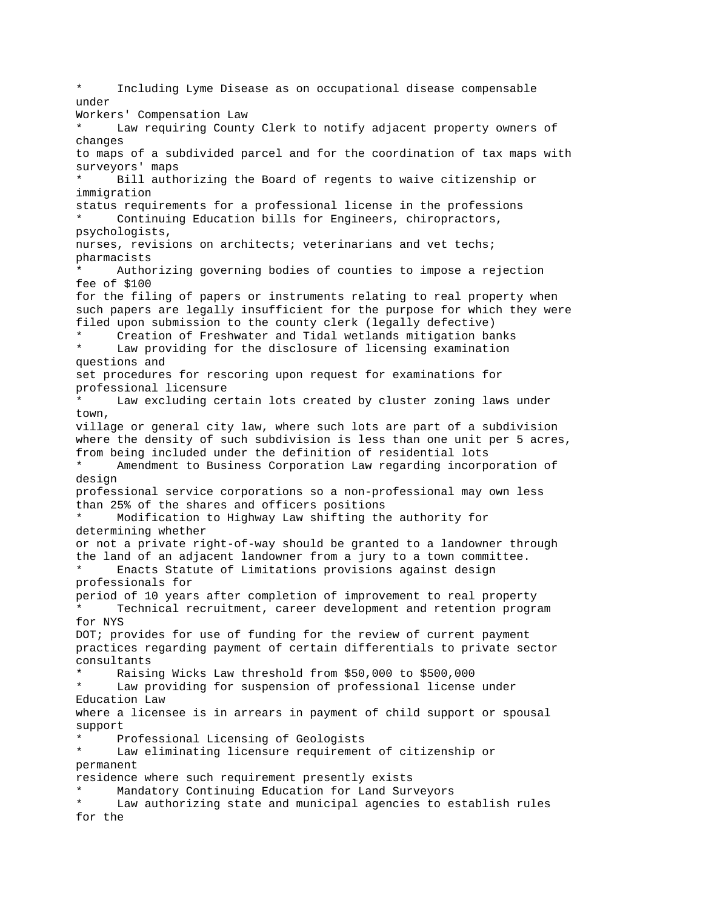Including Lyme Disease as on occupational disease compensable under Workers' Compensation Law Law requiring County Clerk to notify adjacent property owners of changes to maps of a subdivided parcel and for the coordination of tax maps with surveyors' maps Bill authorizing the Board of regents to waive citizenship or immigration status requirements for a professional license in the professions Continuing Education bills for Engineers, chiropractors, psychologists, nurses, revisions on architects; veterinarians and vet techs; pharmacists Authorizing governing bodies of counties to impose a rejection fee of \$100 for the filing of papers or instruments relating to real property when such papers are legally insufficient for the purpose for which they were filed upon submission to the county clerk (legally defective) Creation of Freshwater and Tidal wetlands mitigation banks \* Law providing for the disclosure of licensing examination questions and set procedures for rescoring upon request for examinations for professional licensure Law excluding certain lots created by cluster zoning laws under town, village or general city law, where such lots are part of a subdivision where the density of such subdivision is less than one unit per 5 acres, from being included under the definition of residential lots Amendment to Business Corporation Law regarding incorporation of design professional service corporations so a non-professional may own less than 25% of the shares and officers positions \* Modification to Highway Law shifting the authority for determining whether or not a private right-of-way should be granted to a landowner through the land of an adjacent landowner from a jury to a town committee. Enacts Statute of Limitations provisions against design professionals for period of 10 years after completion of improvement to real property Technical recruitment, career development and retention program for NYS DOT; provides for use of funding for the review of current payment practices regarding payment of certain differentials to private sector consultants Raising Wicks Law threshold from \$50,000 to \$500,000 Law providing for suspension of professional license under Education Law where a licensee is in arrears in payment of child support or spousal support Professional Licensing of Geologists Law eliminating licensure requirement of citizenship or permanent residence where such requirement presently exists Mandatory Continuing Education for Land Surveyors Law authorizing state and municipal agencies to establish rules for the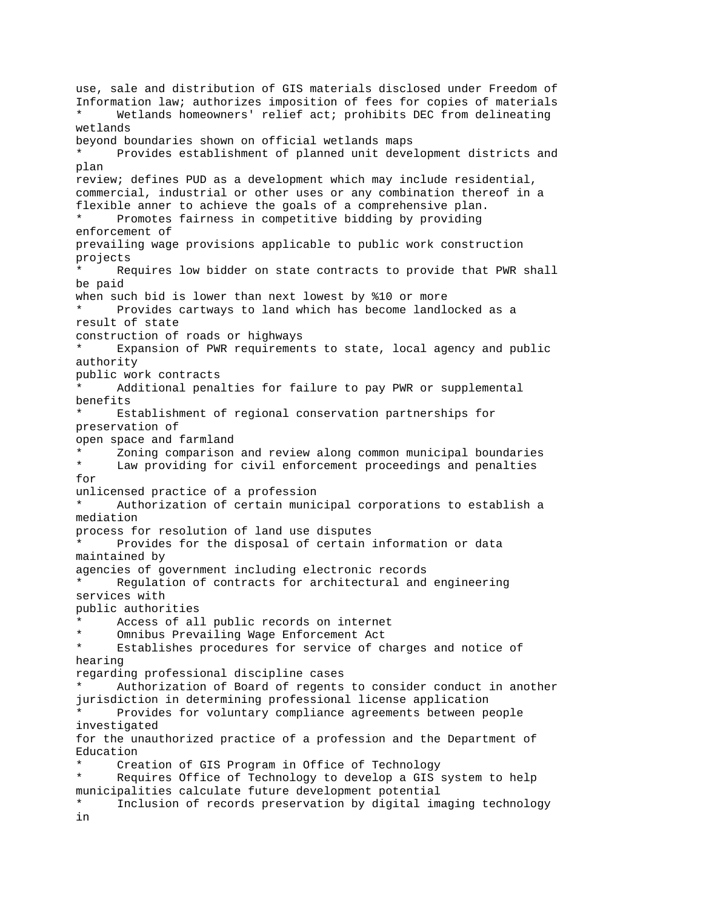use, sale and distribution of GIS materials disclosed under Freedom of Information law; authorizes imposition of fees for copies of materials Wetlands homeowners' relief act; prohibits DEC from delineating wetlands beyond boundaries shown on official wetlands maps Provides establishment of planned unit development districts and plan review; defines PUD as a development which may include residential, commercial, industrial or other uses or any combination thereof in a flexible anner to achieve the goals of a comprehensive plan. Promotes fairness in competitive bidding by providing enforcement of prevailing wage provisions applicable to public work construction projects Requires low bidder on state contracts to provide that PWR shall be paid when such bid is lower than next lowest by %10 or more Provides cartways to land which has become landlocked as a result of state construction of roads or highways Expansion of PWR requirements to state, local agency and public authority public work contracts Additional penalties for failure to pay PWR or supplemental benefits Establishment of regional conservation partnerships for preservation of open space and farmland \* Zoning comparison and review along common municipal boundaries Law providing for civil enforcement proceedings and penalties for unlicensed practice of a profession Authorization of certain municipal corporations to establish a mediation process for resolution of land use disputes Provides for the disposal of certain information or data maintained by agencies of government including electronic records Regulation of contracts for architectural and engineering services with public authorities Access of all public records on internet Omnibus Prevailing Wage Enforcement Act Establishes procedures for service of charges and notice of hearing regarding professional discipline cases Authorization of Board of regents to consider conduct in another jurisdiction in determining professional license application Provides for voluntary compliance agreements between people investigated for the unauthorized practice of a profession and the Department of Education Creation of GIS Program in Office of Technology Requires Office of Technology to develop a GIS system to help municipalities calculate future development potential Inclusion of records preservation by digital imaging technology in